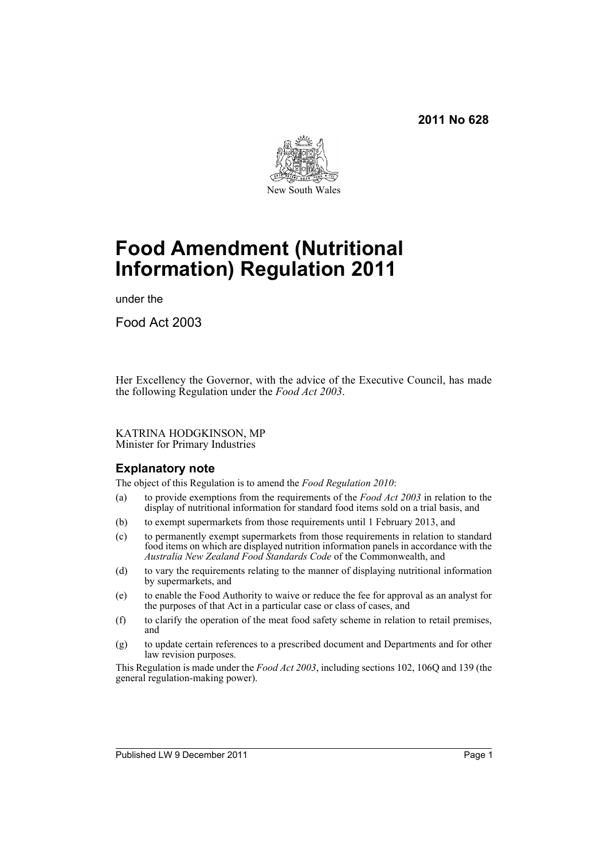

# **Food Amendment (Nutritional Information) Regulation 2011**

under the

Food Act 2003

Her Excellency the Governor, with the advice of the Executive Council, has made the following Regulation under the *Food Act 2003*.

KATRINA HODGKINSON, MP Minister for Primary Industries

# **Explanatory note**

The object of this Regulation is to amend the *Food Regulation 2010*:

- (a) to provide exemptions from the requirements of the *Food Act 2003* in relation to the display of nutritional information for standard food items sold on a trial basis, and
- (b) to exempt supermarkets from those requirements until 1 February 2013, and
- (c) to permanently exempt supermarkets from those requirements in relation to standard food items on which are displayed nutrition information panels in accordance with the *Australia New Zealand Food Standards Code* of the Commonwealth, and
- (d) to vary the requirements relating to the manner of displaying nutritional information by supermarkets, and
- (e) to enable the Food Authority to waive or reduce the fee for approval as an analyst for the purposes of that Act in a particular case or class of cases, and
- (f) to clarify the operation of the meat food safety scheme in relation to retail premises, and
- (g) to update certain references to a prescribed document and Departments and for other law revision purposes.

This Regulation is made under the *Food Act 2003*, including sections 102, 106Q and 139 (the general regulation-making power).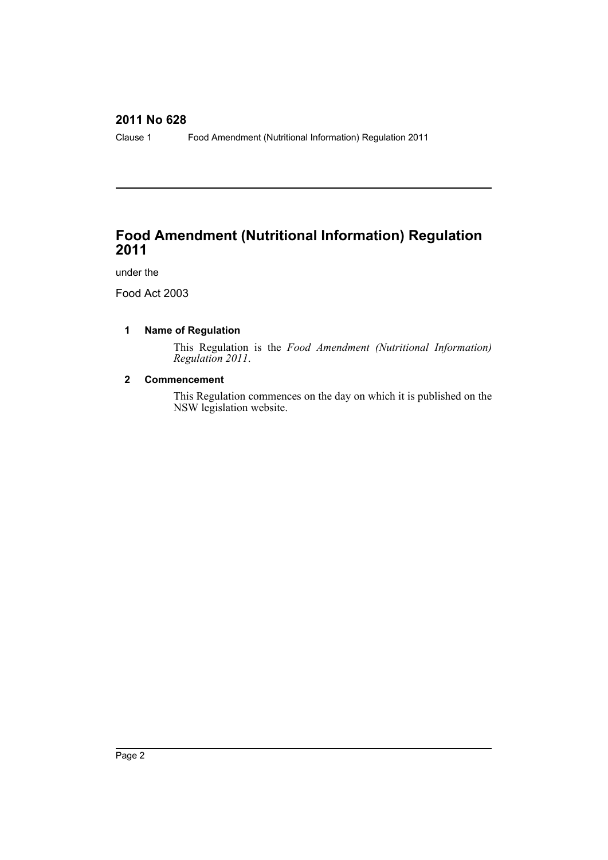Clause 1 Food Amendment (Nutritional Information) Regulation 2011

# **Food Amendment (Nutritional Information) Regulation 2011**

under the

Food Act 2003

# **1 Name of Regulation**

This Regulation is the *Food Amendment (Nutritional Information) Regulation 2011*.

# **2 Commencement**

This Regulation commences on the day on which it is published on the NSW legislation website.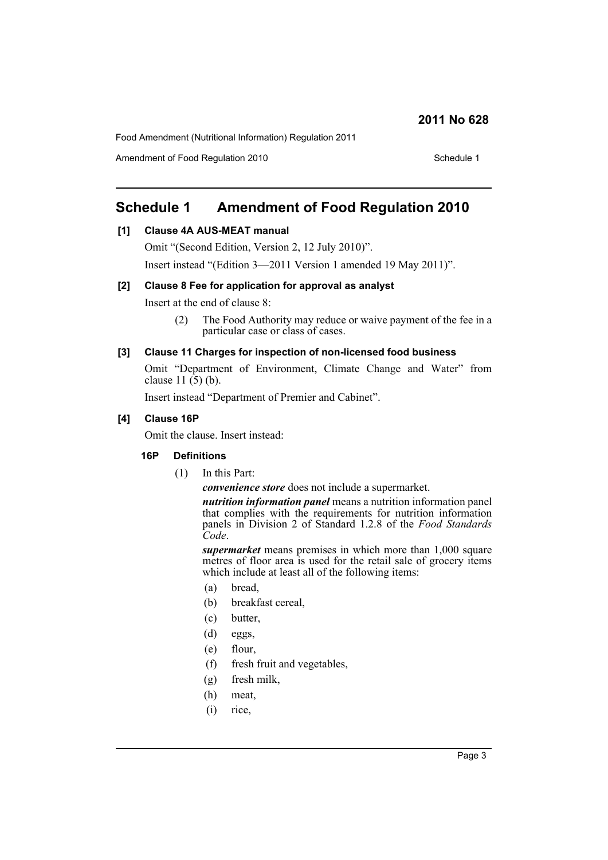Food Amendment (Nutritional Information) Regulation 2011

Amendment of Food Regulation 2010 Schedule 1

# **Schedule 1 Amendment of Food Regulation 2010**

# **[1] Clause 4A AUS-MEAT manual**

Omit "(Second Edition, Version 2, 12 July 2010)".

Insert instead "(Edition 3—2011 Version 1 amended 19 May 2011)".

### **[2] Clause 8 Fee for application for approval as analyst**

Insert at the end of clause 8:

(2) The Food Authority may reduce or waive payment of the fee in a particular case or class of cases.

#### **[3] Clause 11 Charges for inspection of non-licensed food business**

Omit "Department of Environment, Climate Change and Water" from clause  $11(5)(b)$ .

Insert instead "Department of Premier and Cabinet".

# **[4] Clause 16P**

Omit the clause. Insert instead:

#### **16P Definitions**

(1) In this Part:

*convenience store* does not include a supermarket.

*nutrition information panel* means a nutrition information panel that complies with the requirements for nutrition information panels in Division 2 of Standard 1.2.8 of the *Food Standards Code*.

*supermarket* means premises in which more than 1,000 square metres of floor area is used for the retail sale of grocery items which include at least all of the following items:

- (a) bread,
- (b) breakfast cereal,
- (c) butter,
- (d) eggs,
- (e) flour,
- (f) fresh fruit and vegetables,
- (g) fresh milk,
- (h) meat,
- (i) rice,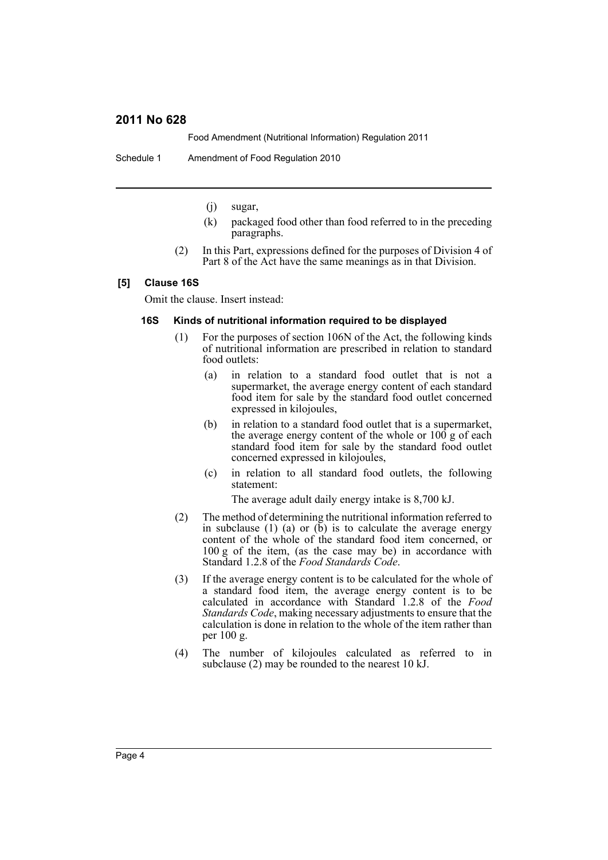Food Amendment (Nutritional Information) Regulation 2011

Schedule 1 Amendment of Food Regulation 2010

- (j) sugar,
- (k) packaged food other than food referred to in the preceding paragraphs.
- (2) In this Part, expressions defined for the purposes of Division 4 of Part 8 of the Act have the same meanings as in that Division.

#### **[5] Clause 16S**

Omit the clause. Insert instead:

#### **16S Kinds of nutritional information required to be displayed**

- (1) For the purposes of section 106N of the Act, the following kinds of nutritional information are prescribed in relation to standard food outlets:
	- (a) in relation to a standard food outlet that is not a supermarket, the average energy content of each standard food item for sale by the standard food outlet concerned expressed in kilojoules,
	- (b) in relation to a standard food outlet that is a supermarket, the average energy content of the whole or 100 g of each standard food item for sale by the standard food outlet concerned expressed in kilojoules,
	- (c) in relation to all standard food outlets, the following statement:

The average adult daily energy intake is 8,700 kJ.

- (2) The method of determining the nutritional information referred to in subclause  $(1)$   $(a)$  or  $(b)$  is to calculate the average energy content of the whole of the standard food item concerned, or 100 g of the item, (as the case may be) in accordance with Standard 1.2.8 of the *Food Standards Code*.
- (3) If the average energy content is to be calculated for the whole of a standard food item, the average energy content is to be calculated in accordance with Standard 1.2.8 of the *Food Standards Code*, making necessary adjustments to ensure that the calculation is done in relation to the whole of the item rather than per 100 g.
- (4) The number of kilojoules calculated as referred to in subclause (2) may be rounded to the nearest 10 kJ.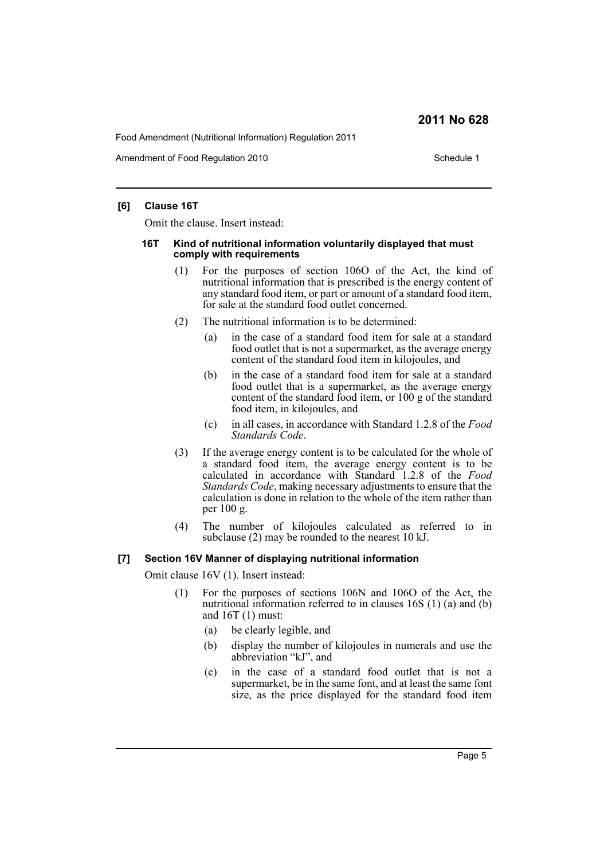Food Amendment (Nutritional Information) Regulation 2011

Amendment of Food Regulation 2010 Schedule 1

# **[6] Clause 16T**

Omit the clause. Insert instead:

#### **16T Kind of nutritional information voluntarily displayed that must comply with requirements**

- (1) For the purposes of section 106O of the Act, the kind of nutritional information that is prescribed is the energy content of any standard food item, or part or amount of a standard food item, for sale at the standard food outlet concerned.
- (2) The nutritional information is to be determined:
	- (a) in the case of a standard food item for sale at a standard food outlet that is not a supermarket, as the average energy content of the standard food item in kilojoules, and
	- (b) in the case of a standard food item for sale at a standard food outlet that is a supermarket, as the average energy content of the standard food item, or 100 g of the standard food item, in kilojoules, and
	- (c) in all cases, in accordance with Standard 1.2.8 of the *Food Standards Code*.
- (3) If the average energy content is to be calculated for the whole of a standard food item, the average energy content is to be calculated in accordance with Standard 1.2.8 of the *Food Standards Code*, making necessary adjustments to ensure that the calculation is done in relation to the whole of the item rather than per 100 g.
- (4) The number of kilojoules calculated as referred to in subclause (2) may be rounded to the nearest 10 kJ.

# **[7] Section 16V Manner of displaying nutritional information**

Omit clause 16V (1). Insert instead:

- (1) For the purposes of sections 106N and 106O of the Act, the nutritional information referred to in clauses 16S (1) (a) and (b) and 16T (1) must:
	- (a) be clearly legible, and
	- (b) display the number of kilojoules in numerals and use the abbreviation "kJ", and
	- (c) in the case of a standard food outlet that is not a supermarket, be in the same font, and at least the same font size, as the price displayed for the standard food item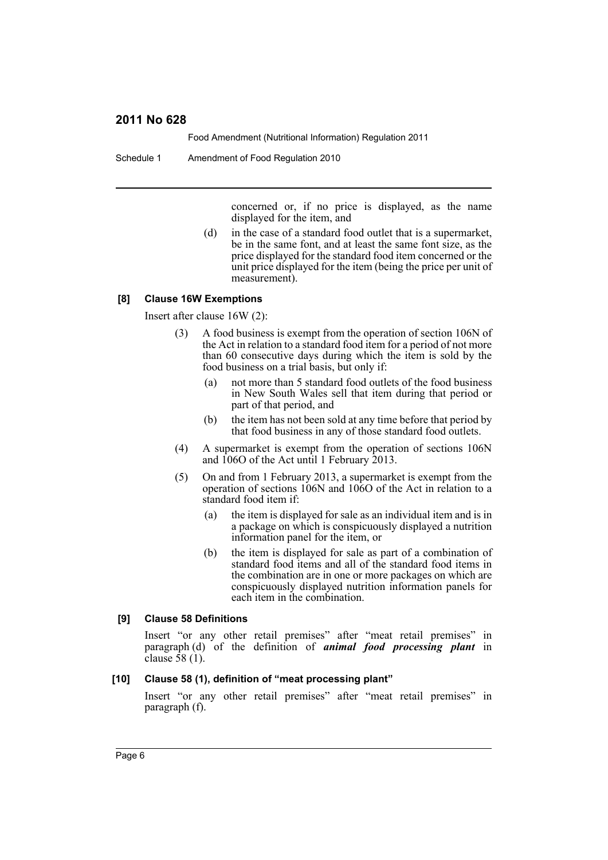Food Amendment (Nutritional Information) Regulation 2011

Schedule 1 Amendment of Food Regulation 2010

concerned or, if no price is displayed, as the name displayed for the item, and

(d) in the case of a standard food outlet that is a supermarket, be in the same font, and at least the same font size, as the price displayed for the standard food item concerned or the unit price displayed for the item (being the price per unit of measurement).

#### **[8] Clause 16W Exemptions**

Insert after clause 16W (2):

- (3) A food business is exempt from the operation of section 106N of the Act in relation to a standard food item for a period of not more than 60 consecutive days during which the item is sold by the food business on a trial basis, but only if:
	- (a) not more than 5 standard food outlets of the food business in New South Wales sell that item during that period or part of that period, and
	- (b) the item has not been sold at any time before that period by that food business in any of those standard food outlets.
- (4) A supermarket is exempt from the operation of sections 106N and 106O of the Act until 1 February 2013.
- (5) On and from 1 February 2013, a supermarket is exempt from the operation of sections 106N and 106O of the Act in relation to a standard food item if:
	- (a) the item is displayed for sale as an individual item and is in a package on which is conspicuously displayed a nutrition information panel for the item, or
	- (b) the item is displayed for sale as part of a combination of standard food items and all of the standard food items in the combination are in one or more packages on which are conspicuously displayed nutrition information panels for each item in the combination.

#### **[9] Clause 58 Definitions**

Insert "or any other retail premises" after "meat retail premises" in paragraph (d) of the definition of *animal food processing plant* in clause  $\overline{58}$  (1).

#### **[10] Clause 58 (1), definition of "meat processing plant"**

Insert "or any other retail premises" after "meat retail premises" in paragraph (f).